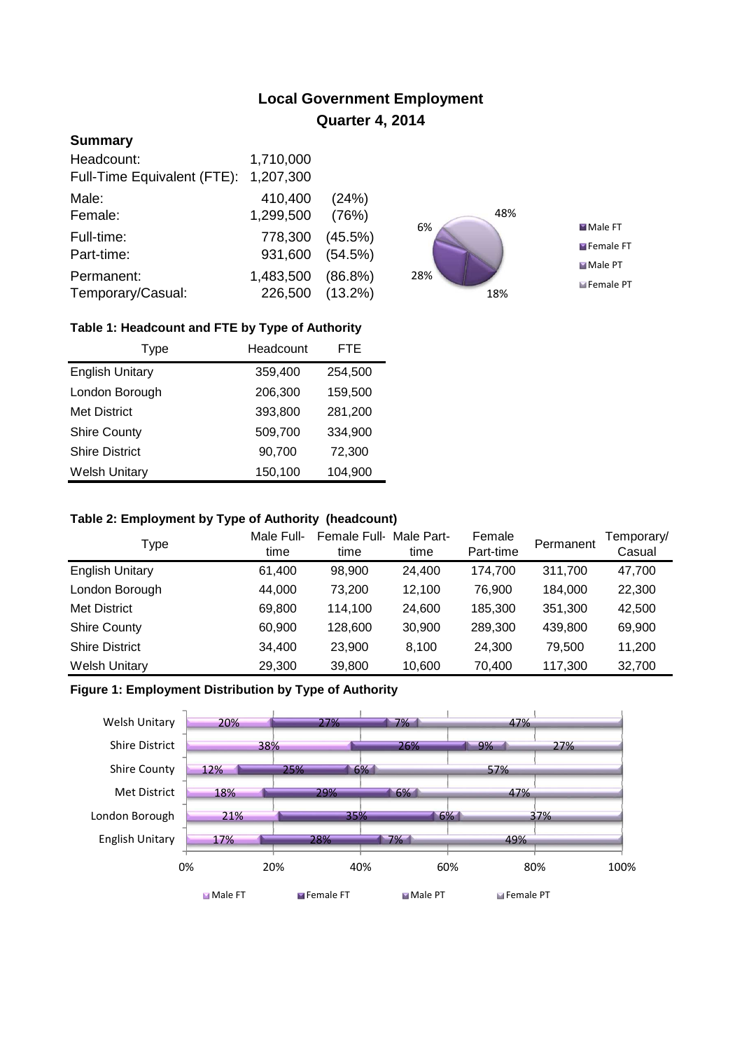# **Local Government Employment Quarter 4, 2014**

## **Summary**

| Headcount:<br>Full-Time Equivalent (FTE): | 1,710,000<br>1,207,300 |            |
|-------------------------------------------|------------------------|------------|
| Male:                                     | 410,400                | (24%)      |
| Female:                                   | 1,299,500              | (76%)      |
| Full-time:                                | 778,300                | $(45.5\%)$ |
| Part-time:                                | 931,600                | (54.5%)    |
| Permanent:                                | 1,483,500              | $(86.8\%)$ |
| Temporary/Casual:                         | 226,500                | $(13.2\%)$ |



## **Table 1: Headcount and FTE by Type of Authority**

| Type                   | Headcount | <b>FTE</b> |
|------------------------|-----------|------------|
| <b>English Unitary</b> | 359,400   | 254,500    |
| London Borough         | 206,300   | 159,500    |
| <b>Met District</b>    | 393,800   | 281,200    |
| <b>Shire County</b>    | 509,700   | 334,900    |
| <b>Shire District</b>  | 90,700    | 72,300     |
| <b>Welsh Unitary</b>   | 150,100   | 104,900    |

#### **Table 2: Employment by Type of Authority (headcount)**

| Type                   | Male Full-<br>time | Female Full-<br>time | Male Part-<br>time | Female<br>Part-time | Permanent | Temporary/<br>Casual |
|------------------------|--------------------|----------------------|--------------------|---------------------|-----------|----------------------|
| <b>English Unitary</b> | 61,400             | 98,900               | 24,400             | 174,700             | 311,700   | 47,700               |
| London Borough         | 44,000             | 73.200               | 12.100             | 76.900              | 184.000   | 22,300               |
| <b>Met District</b>    | 69,800             | 114.100              | 24,600             | 185,300             | 351,300   | 42,500               |
| <b>Shire County</b>    | 60,900             | 128,600              | 30,900             | 289.300             | 439.800   | 69,900               |
| <b>Shire District</b>  | 34,400             | 23,900               | 8,100              | 24,300              | 79.500    | 11,200               |
| <b>Welsh Unitary</b>   | 29,300             | 39,800               | 10,600             | 70,400              | 117,300   | 32,700               |

### **Figure 1: Employment Distribution by Type of Authority**